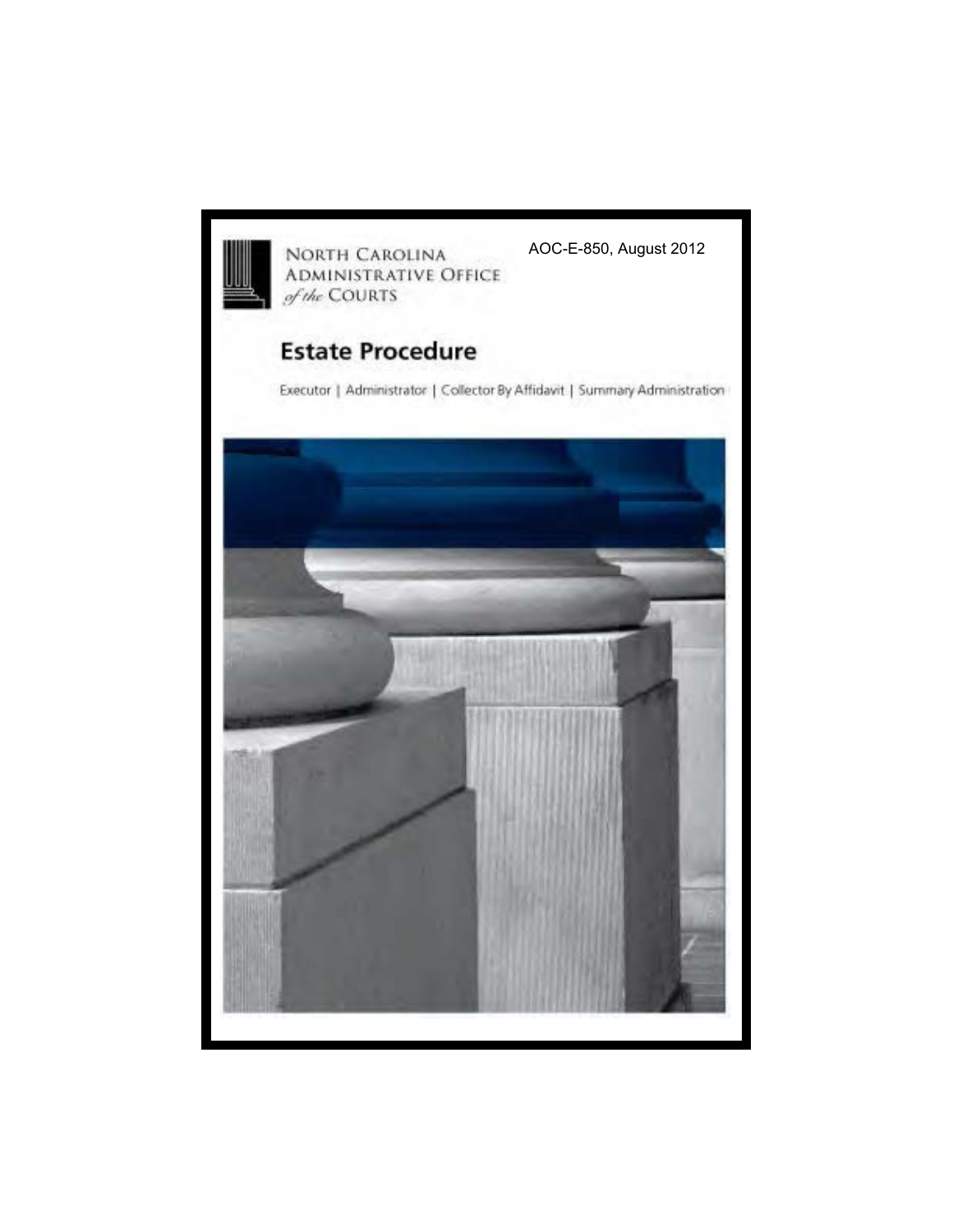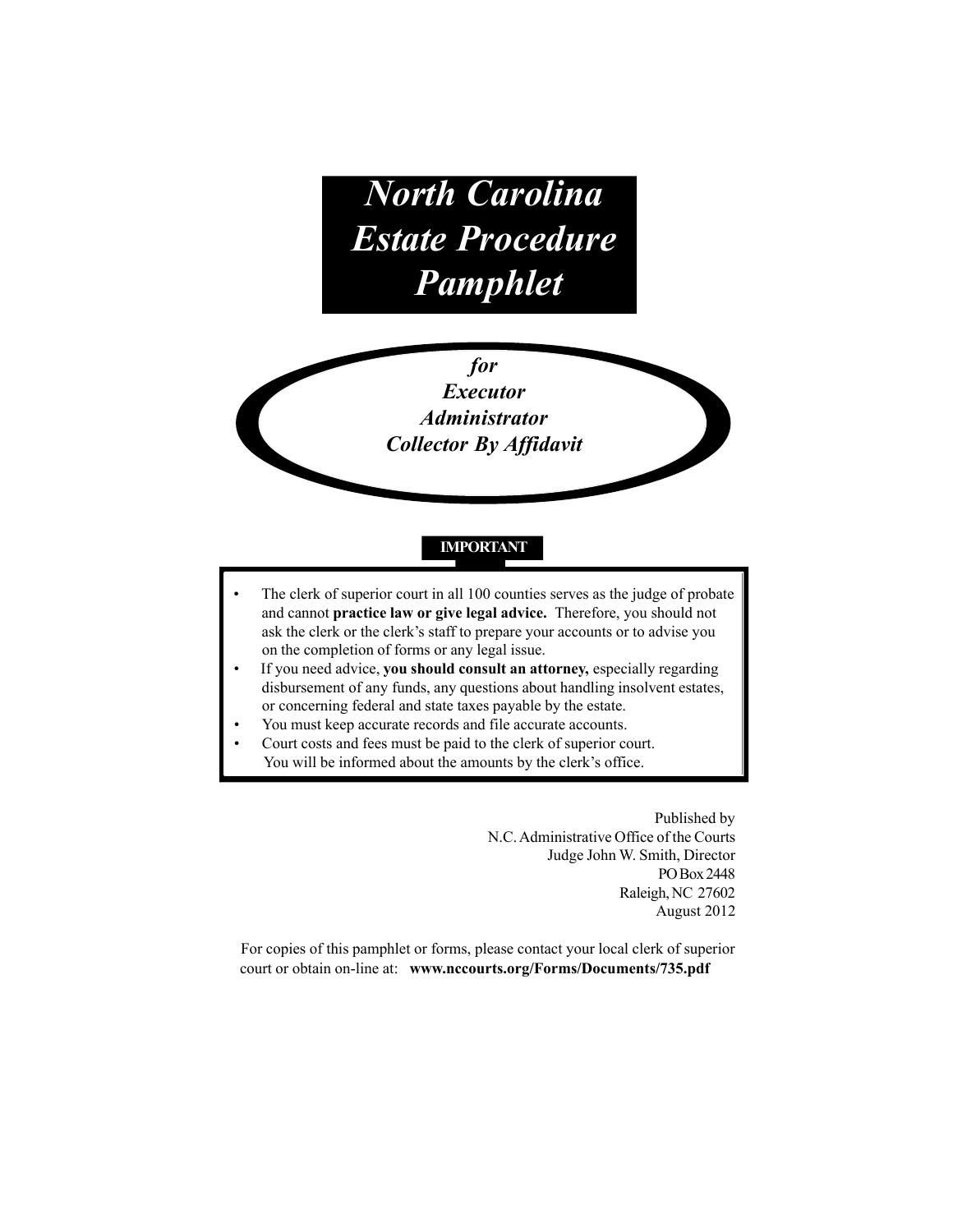*North Carolina Estate Procedure Pamphlet*

> *for Executor Administrator Collector By Affidavit*

# **IMPORTANT**

- The clerk of superior court in all 100 counties serves as the judge of probate and cannot **practice law or give legal advice.** Therefore, you should not ask the clerk or the clerk's staff to prepare your accounts or to advise you on the completion of forms or any legal issue.
- If you need advice, you should consult an attorney, especially regarding disbursement of any funds, any questions about handling insolvent estates, or concerning federal and state taxes payable by the estate.
- You must keep accurate records and file accurate accounts.
- Court costs and fees must be paid to the clerk of superior court. You will be informed about the amounts by the clerk's office.

Published by N.C. Administrative Office of the Courts Judge John W. Smith, Director PO Box 2448 Raleigh, NC 27602 August 2012

For copies of this pamphlet or forms, please contact your local clerk of superior court or obtain on-line at: **www.nccourts.org/Forms/Documents/735.pdf**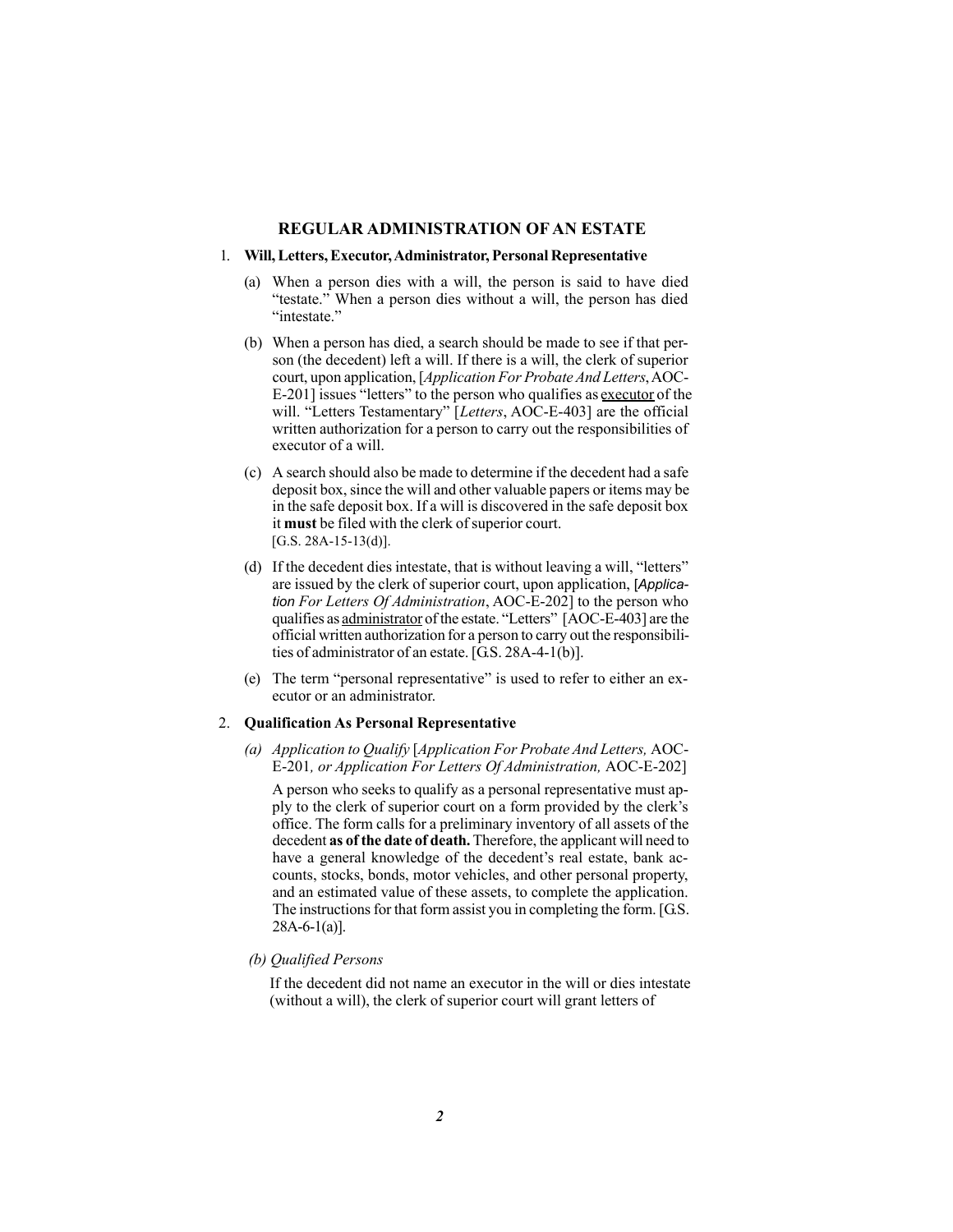### **REGULAR ADMINISTRATION OF AN ESTATE**

#### 1. **Will,Letters, Executor, Administrator, Personal Representative**

- (a) When a person dies with a will, the person is said to have died "testate." When a person dies without a will, the person has died "intestate."
- (b) When a person has died, a search should be made to see if that person (the decedent) left a will. If there is a will, the clerk of superior court, upon application, [*Application For Probate And Letters*,AOC-E-201] issues "letters" to the person who qualifies as executor of the will. "Letters Testamentary" [*Letters*, AOC-E-403] are the official written authorization for a person to carry out the responsibilities of executor of a will.
- (c) A search should also be made to determine if the decedent had a safe deposit box, since the will and other valuable papers or items may be in the safe deposit box. If a will is discovered in the safe deposit box it **must** be filed with the clerk of superior court.  $[G.S. 28A-15-13(d)].$
- (d) If the decedent dies intestate, that is without leaving a will, "letters" are issued by the clerk of superior court, upon application, [*Application For Letters Of Administration*, AOC-E-202] to the person who qualifies as administrator of the estate. "Letters" [AOC-E-403] are the official written authorization for a person to carry out the responsibilities of administrator of an estate. [G.S. 28A-4-1(b)].
- (e) The term "personal representative" is used to refer to either an executor or an administrator.

#### 2. **Qualification As Personal Representative**

*(a) Application to Qualify* [*Application For Probate And Letters,* AOC-E-201*, or Application For Letters Of Administration,* AOC-E-202]

A person who seeks to qualify as a personal representative must apply to the clerk of superior court on a form provided by the clerk's office. The form calls for a preliminary inventory of all assets of the decedent **as of the date of death.** Therefore, the applicant will need to have a general knowledge of the decedent's real estate, bank accounts, stocks, bonds, motor vehicles, and other personal property, and an estimated value of these assets, to complete the application. The instructions for that form assist you in completing the form. [G.S.  $28A-6-1(a)$ ].

*(b) Qualified Persons*

If the decedent did not name an executor in the will or dies intestate (without a will), the clerk of superior court will grant letters of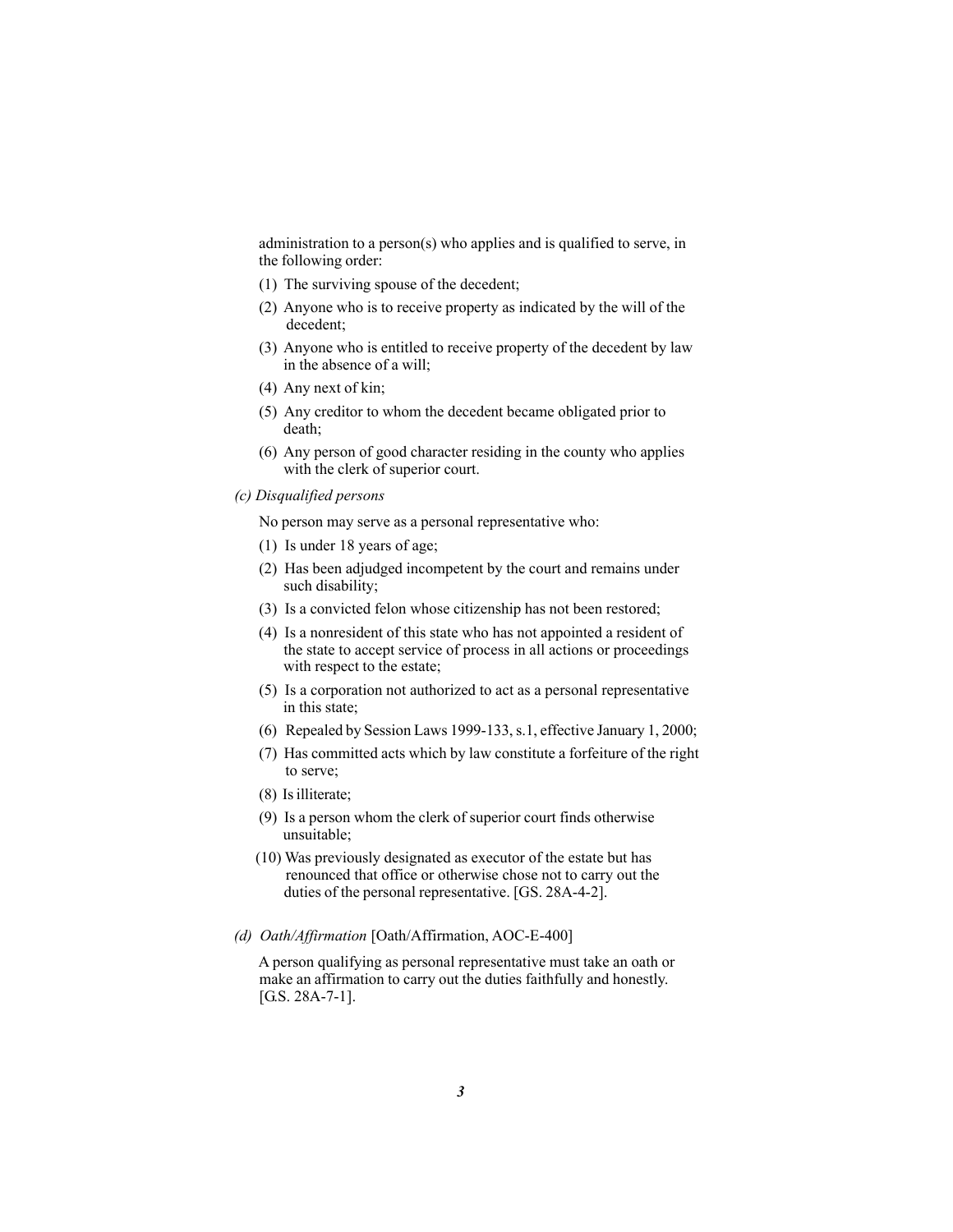administration to a person(s) who applies and is qualified to serve, in the following order:

- (1) The surviving spouse of the decedent;
- (2) Anyone who is to receive property as indicated by the will of the decedent;
- (3) Anyone who is entitled to receive property of the decedent by law in the absence of a will;
- (4) Any next of kin;
- (5) Any creditor to whom the decedent became obligated prior to death;
- (6) Any person of good character residing in the county who applies with the clerk of superior court.
- *(c) Disqualified persons*

No person may serve as a personal representative who:

- (1) Is under 18 years of age;
- (2) Has been adjudged incompetent by the court and remains under such disability;
- (3) Is a convicted felon whose citizenship has not been restored;
- (4) Is a nonresident of this state who has not appointed a resident of the state to accept service of process in all actions or proceedings with respect to the estate;
- (5) Is a corporation not authorized to act as a personal representative in this state;
- (6) Repealed by Session Laws 1999-133, s.1, effective January 1, 2000;
- (7) Has committed acts which by law constitute a forfeiture of the right to serve;
- (8) Is illiterate;
- (9) Is a person whom the clerk of superior court finds otherwise unsuitable;
- (10) Was previously designated as executor of the estate but has renounced that office or otherwise chose not to carry out the duties of the personal representative. [GS. 28A-4-2].
- *(d) Oath/Affirmation* [Oath/Affirmation, AOC-E-400]

 A person qualifying as personal representative must take an oath or make an affirmation to carry out the duties faithfully and honestly. [G.S. 28A-7-1].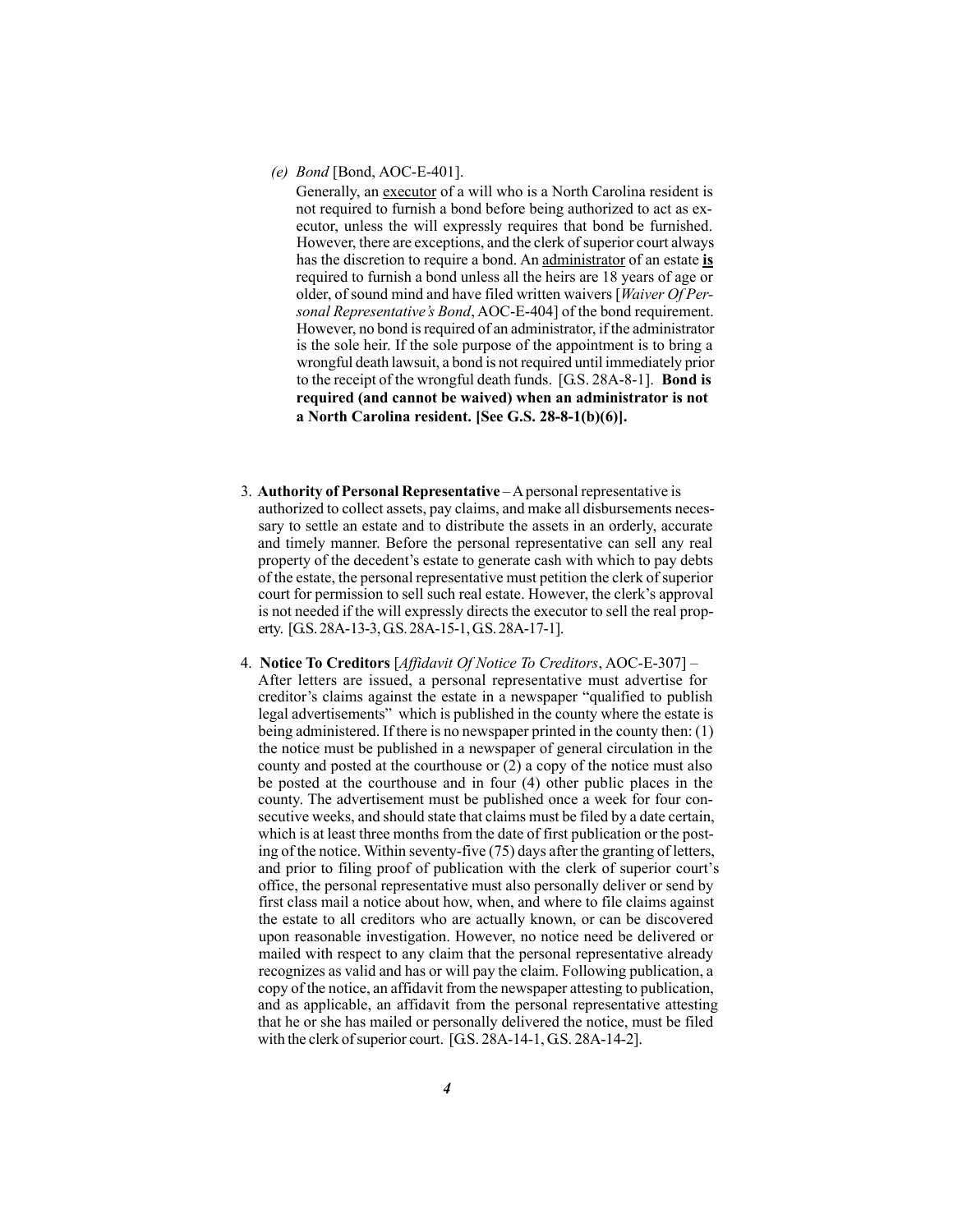*(e) Bond* [Bond, AOC-E-401].

Generally, an executor of a will who is a North Carolina resident is not required to furnish a bond before being authorized to act as executor, unless the will expressly requires that bond be furnished. However, there are exceptions, and the clerk of superior court always has the discretion to require a bond. An administrator of an estate **is** required to furnish a bond unless all the heirs are 18 years of age or older, of sound mind and have filed written waivers [*Waiver Of Personal Representative's Bond*, AOC-E-404] of the bond requirement. However, no bond is required of an administrator, if the administrator is the sole heir. If the sole purpose of the appointment is to bring a wrongful death lawsuit, a bond is not required until immediately prior to the receipt of the wrongful death funds. [G.S. 28A-8-1]. **Bond is required (and cannot be waived) when an administrator is not a North Carolina resident. [See G.S. 28-8-1(b)(6)].** 

- 3. **Authority of Personal Representative** A personal representative is authorized to collect assets, pay claims, and make all disbursements necessary to settle an estate and to distribute the assets in an orderly, accurate and timely manner. Before the personal representative can sell any real property of the decedent's estate to generate cash with which to pay debts of the estate, the personal representative must petition the clerk of superior court for permission to sell such real estate. However, the clerk's approval is not needed if the will expressly directs the executor to sell the real property. [G.S. 28A-13-3, G.S. 28A-15-1, G.S. 28A-17-1].
- 4. **Notice To Creditors** [*Affidavit Of Notice To Creditors*, AOC-E-307] After letters are issued, a personal representative must advertise for creditor's claims against the estate in a newspaper "qualified to publish legal advertisements" which is published in the county where the estate is being administered. If there is no newspaper printed in the county then: (1) the notice must be published in a newspaper of general circulation in the county and posted at the courthouse or (2) a copy of the notice must also be posted at the courthouse and in four (4) other public places in the county. The advertisement must be published once a week for four consecutive weeks, and should state that claims must be filed by a date certain, which is at least three months from the date of first publication or the posting of the notice. Within seventy-five (75) days after the granting of letters, and prior to filing proof of publication with the clerk of superior court's office, the personal representative must also personally deliver or send by first class mail a notice about how, when, and where to file claims against the estate to all creditors who are actually known, or can be discovered upon reasonable investigation. However, no notice need be delivered or mailed with respect to any claim that the personal representative already recognizes as valid and has or will pay the claim. Following publication, a copy of the notice, an affidavit from the newspaper attesting to publication, and as applicable, an affidavit from the personal representative attesting that he or she has mailed or personally delivered the notice, must be filed with the clerk of superior court. [G.S. 28A-14-1, G.S. 28A-14-2].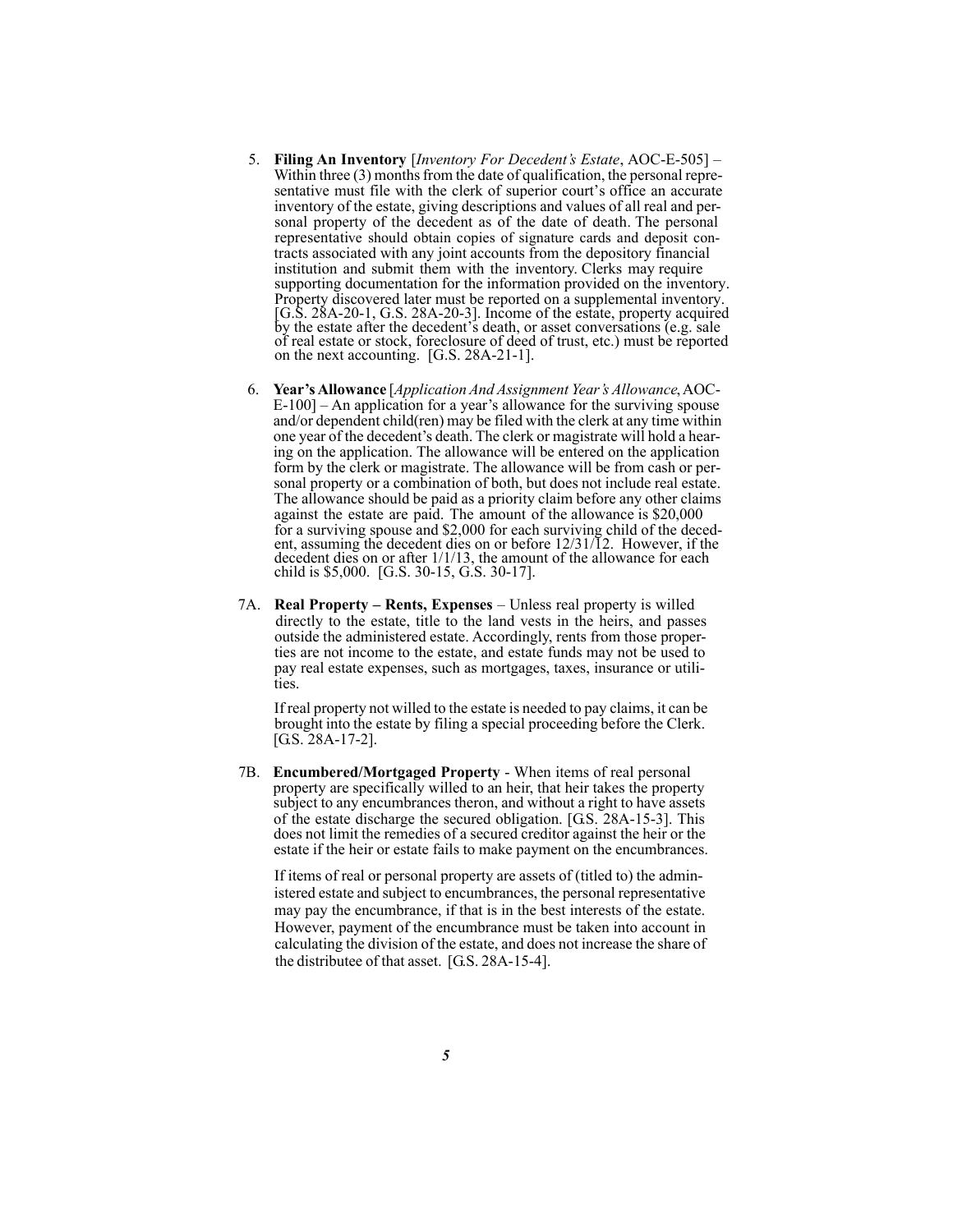- 5. **Filing An Inventory** [*Inventory For Decedent's Estate*, AOC-E-505] Within three (3) months from the date of qualification, the personal representative must file with the clerk of superior court's office an accurate inventory of the estate, giving descriptions and values of all real and personal property of the decedent as of the date of death. The personal representative should obtain copies of signature cards and deposit contracts associated with any joint accounts from the depository financial institution and submit them with the inventory. Clerks may require supporting documentation for the information provided on the inventory. Property discovered later must be reported on a supplemental inventory. [G.S. 28A-20-1, G.S. 28A-20-3]. Income of the estate, property acquired by the estate after the decedent's death, or asset conversations (e.g. sale of real estate or stock, foreclosure of deed of trust, etc.) must be reported on the next accounting. [G.S. 28A-21-1].
- 6. **Year's Allowance** [*Application And Assignment Year's Allowance*, AOC-E-100] – An application for a year's allowance for the surviving spouse and/or dependent child(ren) may be filed with the clerk at any time within one year of the decedent's death. The clerk or magistrate will hold a hearing on the application. The allowance will be entered on the application form by the clerk or magistrate. The allowance will be from cash or personal property or a combination of both, but does not include real estate. The allowance should be paid as a priority claim before any other claims against the estate are paid. The amount of the allowance is \$20,000 for a surviving spouse and \$2,000 for each surviving child of the decedent, assuming the decedent dies on or before 12/31/12. However, if the decedent dies on or after 1/1/13, the amount of the allowance for each child is \$5,000. [G.S. 30-15, G.S. 30-17].
- 7A. **Real Property Rents, Expenses**  Unless real property is willed directly to the estate, title to the land vests in the heirs, and passes outside the administered estate. Accordingly, rents from those properties are not income to the estate, and estate funds may not be used to pay real estate expenses, such as mortgages, taxes, insurance or utilities.

If real property not willed to the estate is needed to pay claims, it can be brought into the estate by filing a special proceeding before the Clerk. [G.S. 28A-17-2].

 7B. **Encumbered/Mortgaged Property** - When items of real personal property are specifically willed to an heir, that heir takes the property subject to any encumbrances theron, and without a right to have assets of the estate discharge the secured obligation. [G.S. 28A-15-3]. This does not limit the remedies of a secured creditor against the heir or the estate if the heir or estate fails to make payment on the encumbrances.

 If items of real or personal property are assets of (titled to) the administered estate and subject to encumbrances, the personal representative may pay the encumbrance, if that is in the best interests of the estate. However, payment of the encumbrance must be taken into account in calculating the division of the estate, and does not increase the share of the distributee of that asset. [G.S. 28A-15-4].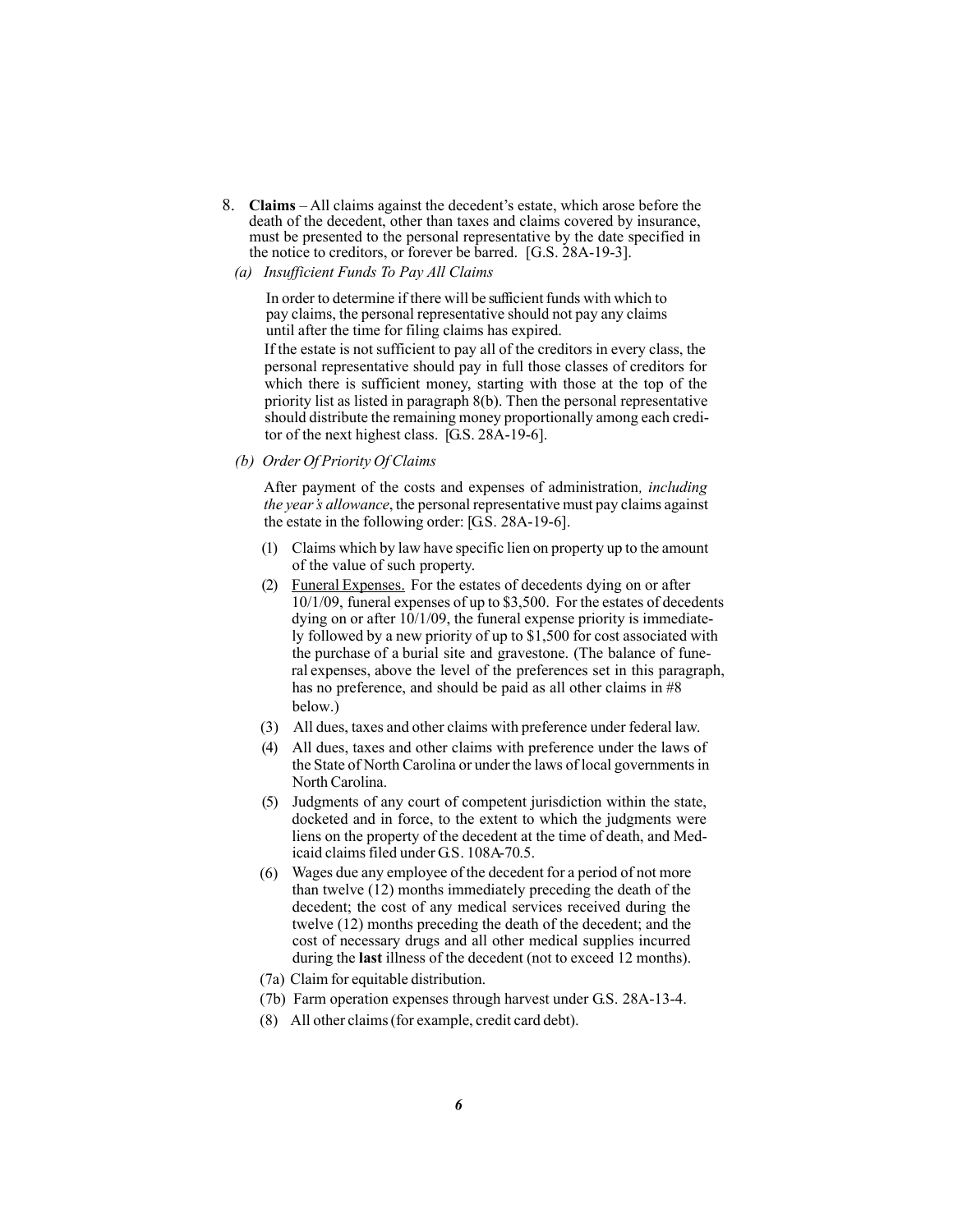- 8. **Claims** All claims against the decedent's estate, which arose before the death of the decedent, other than taxes and claims covered by insurance, must be presented to the personal representative by the date specified in the notice to creditors, or forever be barred. [G.S. 28A-19-3].
	- *(a) Insufficient Funds To Pay All Claims*

If the estate is not sufficient to pay all of the creditors in every class, the In order to determine if there will be sufficient funds with which to pay claims, the personal representative should not pay any claims until after the time for filing claims has expired.

personal representative should pay in full those classes of creditors for which there is sufficient money, starting with those at the top of the priority list as listed in paragraph 8(b). Then the personal representative should distribute the remaining money proportionally among each creditor of the next highest class. [G.S. 28A-19-6].

*(b) Order Of Priority Of Claims*

After payment of the costs and expenses of administration*, including the year's allowance*, the personal representative must pay claims against the estate in the following order: [G.S. 28A-19-6].

- (1) Claims which by law have specific lien on property up to the amount of the value of such property.
- (2) Funeral Expenses. For the estates of decedents dying on or after  $10/1/09$ , funeral expenses of up to \$3,500. For the estates of decedents dying on or after 10/1/09, the funeral expense priority is immediately followed by a new priority of up to \$1,500 for cost associated with the purchase of a burial site and gravestone. (The balance of funeral expenses, above the level of the preferences set in this paragraph, has no preference, and should be paid as all other claims in  $\#8$ below.)
- (3) All dues, taxes and other claims with preference under federal law.
- (4) All dues, taxes and other claims with preference under the laws of the State of North Carolina or under the laws of local governments in North Carolina.
- (5) Judgments of any court of competent jurisdiction within the state, docketed and in force, to the extent to which the judgments were liens on the property of the decedent at the time of death, and Medicaid claims filed under G.S. 108A-70.5.
- (6) Wages due any employee of the decedent for a period of not more than twelve (12) months immediately preceding the death of the decedent; the cost of any medical services received during the twelve (12) months preceding the death of the decedent; and the cost of necessary drugs and all other medical supplies incurred during the **last** illness of the decedent (not to exceed 12 months).
- (7a) Claim for equitable distribution.
- (7b) Farm operation expenses through harvest under G.S. 28A-13-4.
- (8) All other claims (for example, credit card debt).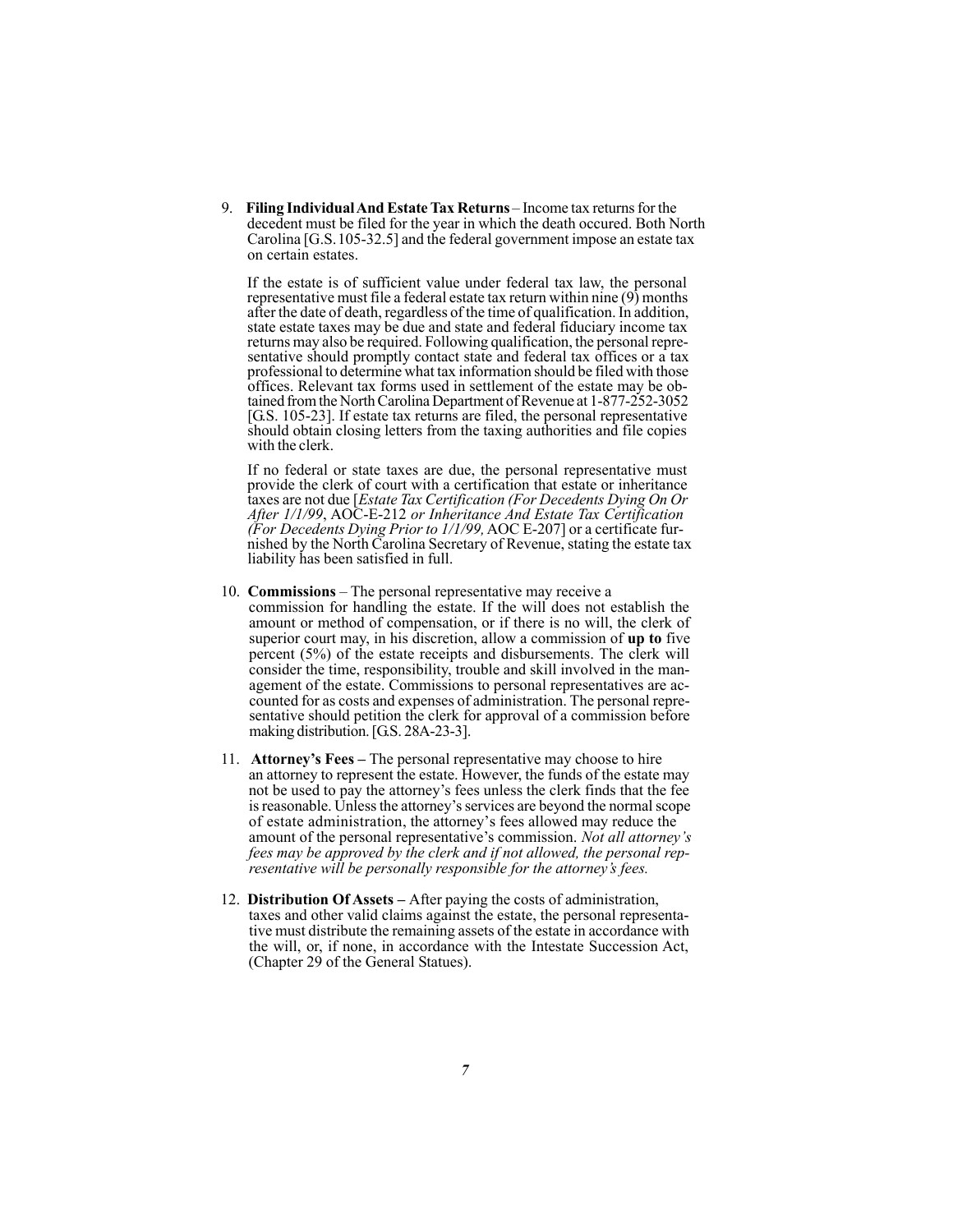9. **Filing Individual And Estate Tax Returns** – Income tax returns for the decedent must be filed for the year in which the death occured. Both North Carolina [G.S.105-32.5] and the federal government impose an estate tax on certain estates.

If the estate is of sufficient value under federal tax law, the personal representative must file a federal estate tax return within nine (9) months after the date of death, regardless of the time of qualification. In addition, state estate taxes may be due and state and federal fiduciary income tax returns may also be required. Following qualification, the personal representative should promptly contact state and federal tax offices or a tax professional to determine what tax information should be filed with those offices. Relevant tax forms used in settlement of the estate may be obtained from the North Carolina Department of Revenue at 1-877-252-3052 [G.S. 105-23]. If estate tax returns are filed, the personal representative should obtain closing letters from the taxing authorities and file copies with the clerk.

If no federal or state taxes are due, the personal representative must provide the clerk of court with a certification that estate or inheritance taxes are not due [*Estate Tax Certification (For Decedents Dying On Or After 1/1/99*, AOC-E-212 *or Inheritance And Estate Tax Certification (For Decedents Dying Prior to 1/1/99,* AOC E-207] or a certificate furnished by the North Carolina Secretary of Revenue, stating the estate tax liability has been satisfied in full.

- 10. **Commissions** The personal representative may receive a commission for handling the estate. If the will does not establish the amount or method of compensation, or if there is no will, the clerk of superior court may, in his discretion, allow a commission of **up to** five percent (5%) of the estate receipts and disbursements. The clerk will consider the time, responsibility, trouble and skill involved in the management of the estate. Commissions to personal representatives are accounted for as costs and expenses of administration. The personal representative should petition the clerk for approval of a commission before making distribution. [G.S. 28A-23-3].
- 11. **Attorney's Fees** The personal representative may choose to hire an attorney to represent the estate. However, the funds of the estate may not be used to pay the attorney's fees unless the clerk finds that the fee is reasonable. Unless the attorney's services are beyond the normal scope of estate administration, the attorney's fees allowed may reduce the amount of the personal representative's commission. *Not all attorney's fees may be approved by the clerk and if not allowed, the personal representative will be personally responsible for the attorney's fees.*
- 12. **Distribution Of Assets** After paying the costs of administration, taxes and other valid claims against the estate, the personal representative must distribute the remaining assets of the estate in accordance with the will, or, if none, in accordance with the Intestate Succession Act, (Chapter 29 of the General Statues).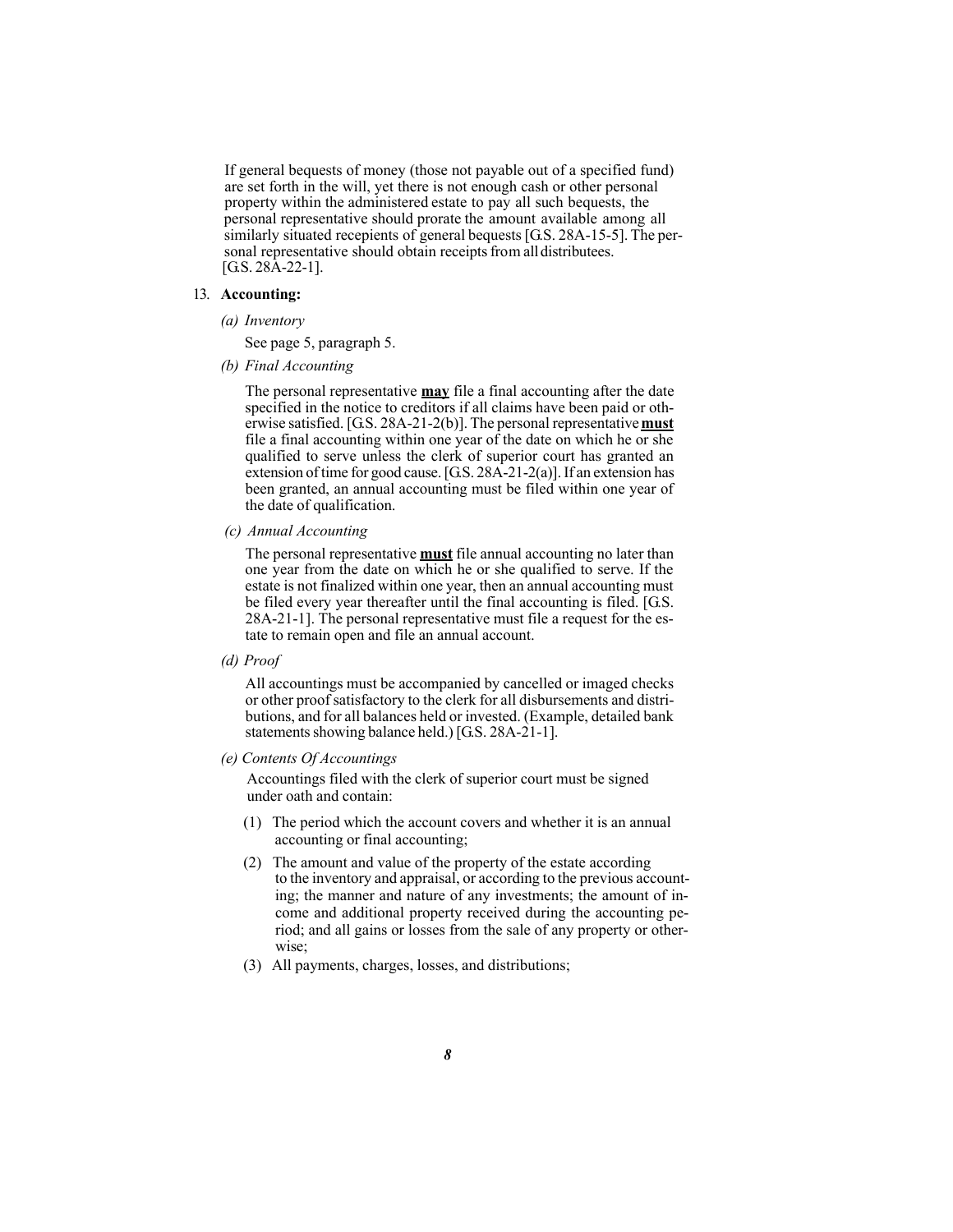If general bequests of money (those not payable out of a specified fund) are set forth in the will, yet there is not enough cash or other personal property within the administered estate to pay all such bequests, the personal representative should prorate the amount available among all similarly situated recepients of general bequests [G.S. 28A-15-5]. The per sonal representative should obtain receipts from all distributees.  $[G.S. 28A-22-1]$ .

#### 13. **Accounting:**

*(a) Inventory*

See page 5, paragraph 5.

*(b) Final Accounting*

The personal representative **may** file a final accounting after the date specified in the notice to creditors if all claims have been paid or otherwise satisfied. [G.S. 28A-21-2(b)]. The personal representative **must** file a final accounting within one year of the date on which he or she qualified to serve unless the clerk of superior court has granted an extension of time for good cause. [G.S. 28A-21-2(a)]. If an extension has been granted, an annual accounting must be filed within one year of the date of qualification.

*(c) Annual Accounting*

The personal representative **must** file annual accounting no later than one year from the date on which he or she qualified to serve. If the estate is not finalized within one year, then an annual accounting must be filed every year thereafter until the final accounting is filed. [G.S. 28A-21-1]. The personal representative must file a request for the estate to remain open and file an annual account.

*(d) Proof*

All accountings must be accompanied by cancelled or imaged checks or other proof satisfactory to the clerk for all disbursements and distributions, and for all balances held or invested. (Example, detailed bank statements showing balance held.) [G.S. 28A-21-1].

*(e) Contents Of Accountings*

Accountings filed with the clerk of superior court must be signed under oath and contain:

- (1) The period which the account covers and whether it is an annual accounting or final accounting;
- (2) The amount and value of the property of the estate according to the inventory and appraisal, or according to the previous accounting; the manner and nature of any investments; the amount of income and additional property received during the accounting period; and all gains or losses from the sale of any property or otherwise;
- (3) All payments, charges, losses, and distributions;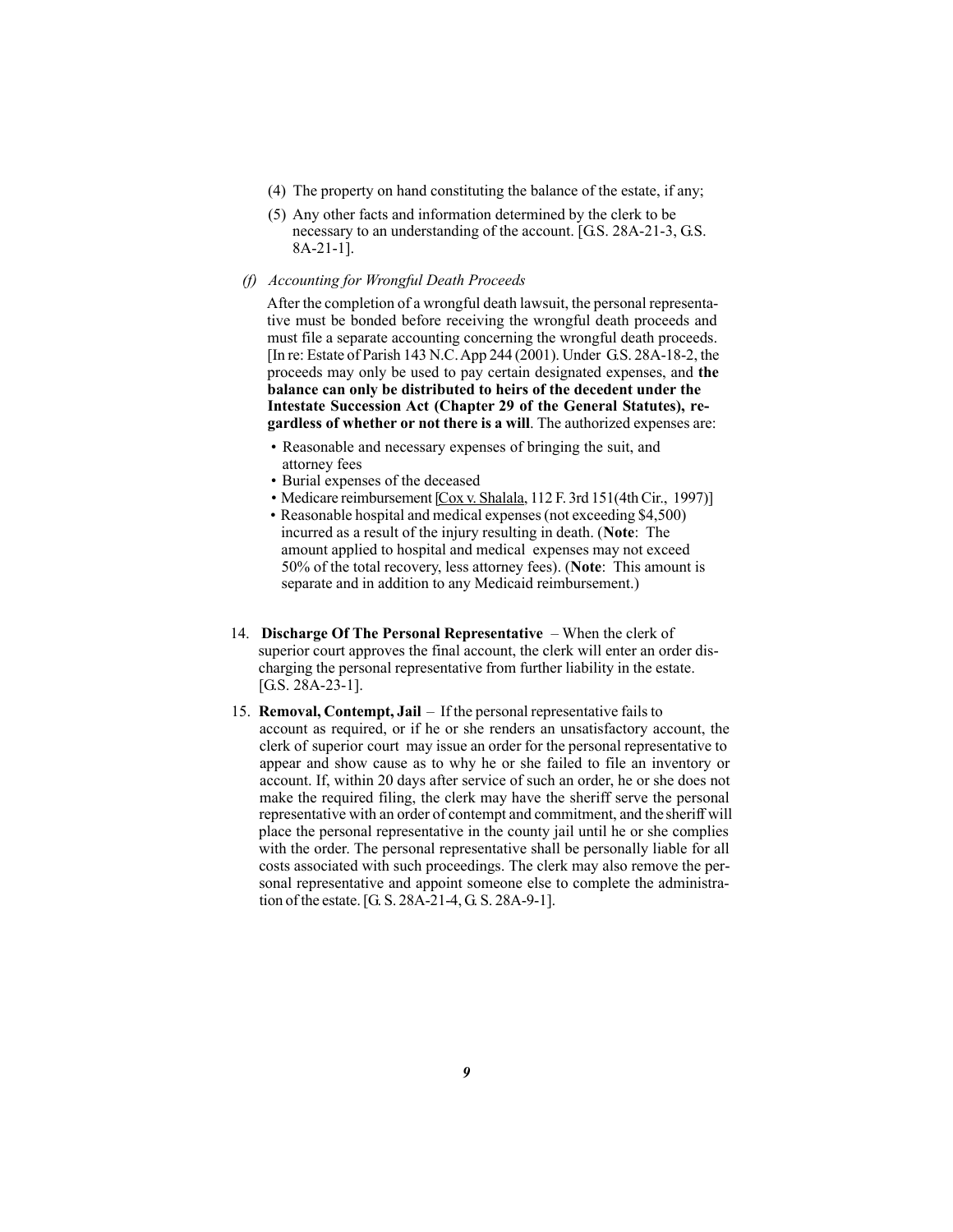- (4) The property on hand constituting the balance of the estate, if any;
- (5) Any other facts and information determined by the clerk to be necessary to an understanding of the account. [G.S. 28A-21-3, G.S. 8A-21-1].
- *(f) Accounting for Wrongful Death Proceeds*

After the completion of a wrongful death lawsuit, the personal representative must be bonded before receiving the wrongful death proceeds and must file a separate accounting concerning the wrongful death proceeds. [In re: Estate of Parish 143 N.C. App 244 (2001). Under G.S. 28A-18-2, the proceeds may only be used to pay certain designated expenses, and **the balance can only be distributed to heirs of the decedent under the Intestate Succession Act (Chapter 29 of the General Statutes), regardless of whether or not there is a will**. The authorized expenses are:

- Reasonable and necessary expenses of bringing the suit, and attorney fees
- Burial expenses of the deceased
- Medicare reimbursement [Cox v. Shalala, 112 F. 3rd 151(4th Cir., 1997)]
- Reasonable hospital and medical expenses (not exceeding \$4,500) incurred as a result of the injury resulting in death. (**Note**: The amount applied to hospital and medical expenses may not exceed 50% of the total recovery, less attorney fees). (**Note**: This amount is separate and in addition to any Medicaid reimbursement.)
- 14. **Discharge Of The Personal Representative**  When the clerk of superior court approves the final account, the clerk will enter an order discharging the personal representative from further liability in the estate. [G.S. 28A-23-1].
- 15. **Removal, Contempt, Jail**  If the personal representative fails to account as required, or if he or she renders an unsatisfactory account, the clerk of superior court may issue an order for the personal representative to appear and show cause as to why he or she failed to file an inventory or account. If, within 20 days after service of such an order, he or she does not make the required filing, the clerk may have the sheriff serve the personal representative with an order of contempt and commitment, and the sheriff will place the personal representative in the county jail until he or she complies with the order. The personal representative shall be personally liable for all costs associated with such proceedings. The clerk may also remove the personal representative and appoint someone else to complete the administration of the estate. [G. S. 28A-21-4, G. S. 28A-9-1].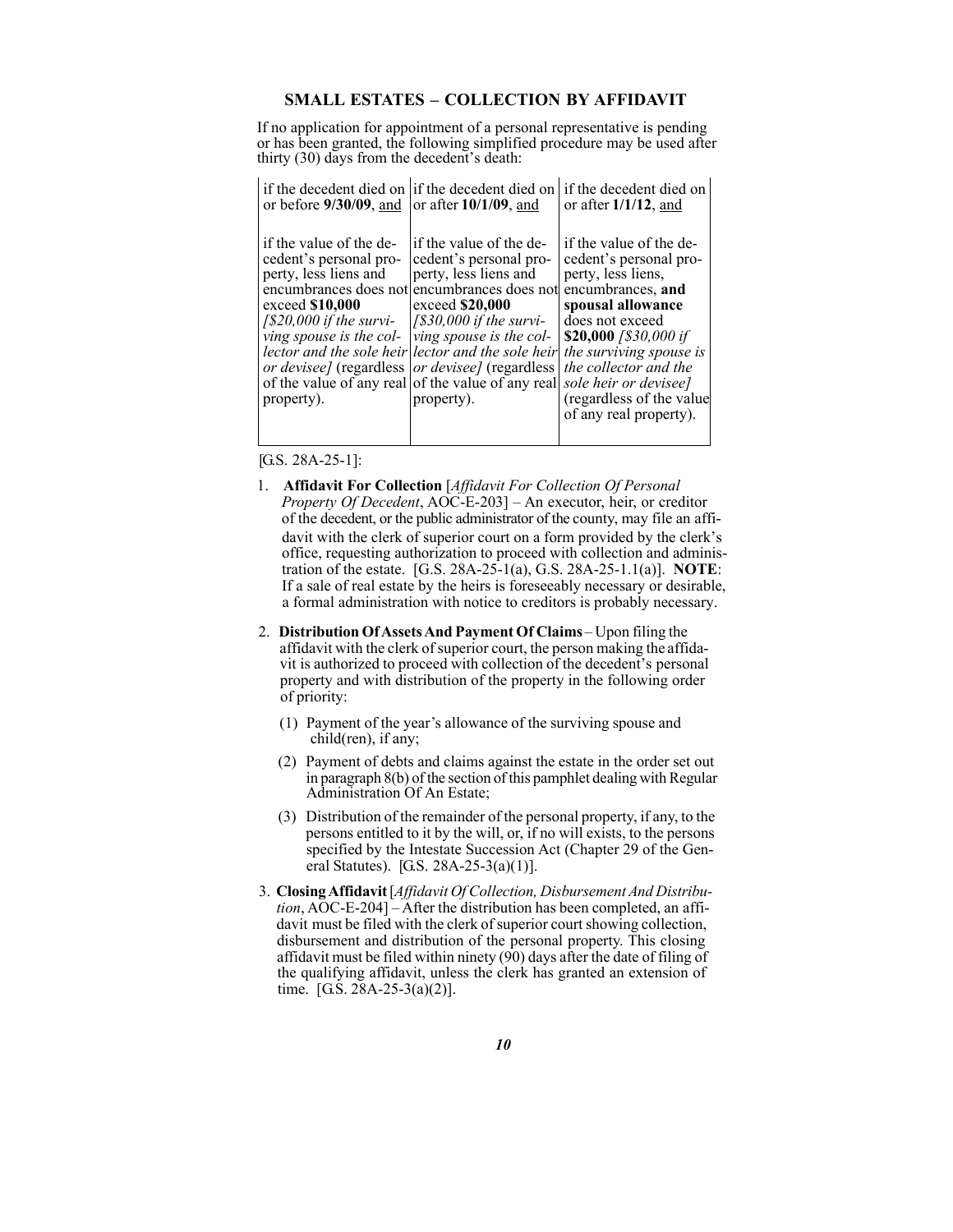## **SMALL ESTATES – COLLECTION BY AFFIDAVIT**

If no application for appointment of a personal representative is pending or has been granted, the following simplified procedure may be used after thirty (30) days from the decedent's death:

| if the decedent died on                                                                                                                                            | lif the decedent died on                                                                                                                                                                                                                                                                                                                                                                        | if the decedent died on                                                                                                                                                                                                                                                                                 |
|--------------------------------------------------------------------------------------------------------------------------------------------------------------------|-------------------------------------------------------------------------------------------------------------------------------------------------------------------------------------------------------------------------------------------------------------------------------------------------------------------------------------------------------------------------------------------------|---------------------------------------------------------------------------------------------------------------------------------------------------------------------------------------------------------------------------------------------------------------------------------------------------------|
| or before $9/30/09$ , and                                                                                                                                          | or after $10/1/09$ , and                                                                                                                                                                                                                                                                                                                                                                        | or after $1/1/12$ , and                                                                                                                                                                                                                                                                                 |
| if the value of the de-<br>cedent's personal pro-<br>perty, less liens and<br>exceed \$10,000<br>$1520,000$ if the survi-<br>ving spouse is the col-<br>property). | if the value of the de-<br>cedent's personal pro-<br>perty, less liens and<br>encumbrances does not encumbrances does not<br>exceed \$20,000<br>$1\$ 30,000 if the survi-<br>ving spouse is the col-<br>lector and the sole heir lector and the sole heir<br><i>or devisee]</i> (regardless   <i>or devisee]</i> (regardless<br>of the value of any real of the value of any real<br>property). | if the value of the de-<br>cedent's personal pro-<br>perty, less liens,<br>encumbrances, and<br>spousal allowance<br>does not exceed<br>\$20,000 $\frac{330,000}{f}$<br>the surviving spouse is<br>the collector and the<br>sole heir or devisee]<br>(regardless of the value<br>of any real property). |

[G.S. 28A-25-1]:

- 1. **Affidavit For Collection** [*Affidavit For Collection Of Personal Property Of Decedent*, AOC-E-203] – An executor, heir, or creditor of the decedent, or the public administrator of the county, may file an affidavit with the clerk of superior court on a form provided by the clerk's office, requesting authorization to proceed with collection and administration of the estate. [G.S. 28A-25-1(a), G.S. 28A-25-1.1(a)]. **NOTE**: If a sale of real estate by the heirs is foreseeably necessary or desirable, a formal administration with notice to creditors is probably necessary.
- 2. **Distribution Of AssetsAnd Payment Of Claims** Upon filing the affidavit with the clerk of superior court, the person making the affidavit is authorized to proceed with collection of the decedent's personal property and with distribution of the property in the following order of priority:
	- (1) Payment of the year's allowance of the surviving spouse and child(ren), if any;
	- (2) Payment of debts and claims against the estate in the order set out in paragraph 8(b) of the section of this pamphlet dealing with Regular Administration Of An Estate;
	- (3) Distribution of the remainder of the personal property, if any, to the persons entitled to it by the will, or, if no will exists, to the persons specified by the Intestate Succession Act (Chapter 29 of the General Statutes). [G.S. 28A-25-3(a)(1)].
- 3. **Closing Affidavit** [*Affidavit Of Collection, Disbursement And Distribution*, AOC-E-204] – After the distribution has been completed, an affidavit must be filed with the clerk of superior court showing collection, disbursement and distribution of the personal property. This closing affidavit must be filed within ninety (90) days after the date of filing of the qualifying affidavit, unless the clerk has granted an extension of time. [G.S. 28A-25-3(a)(2)].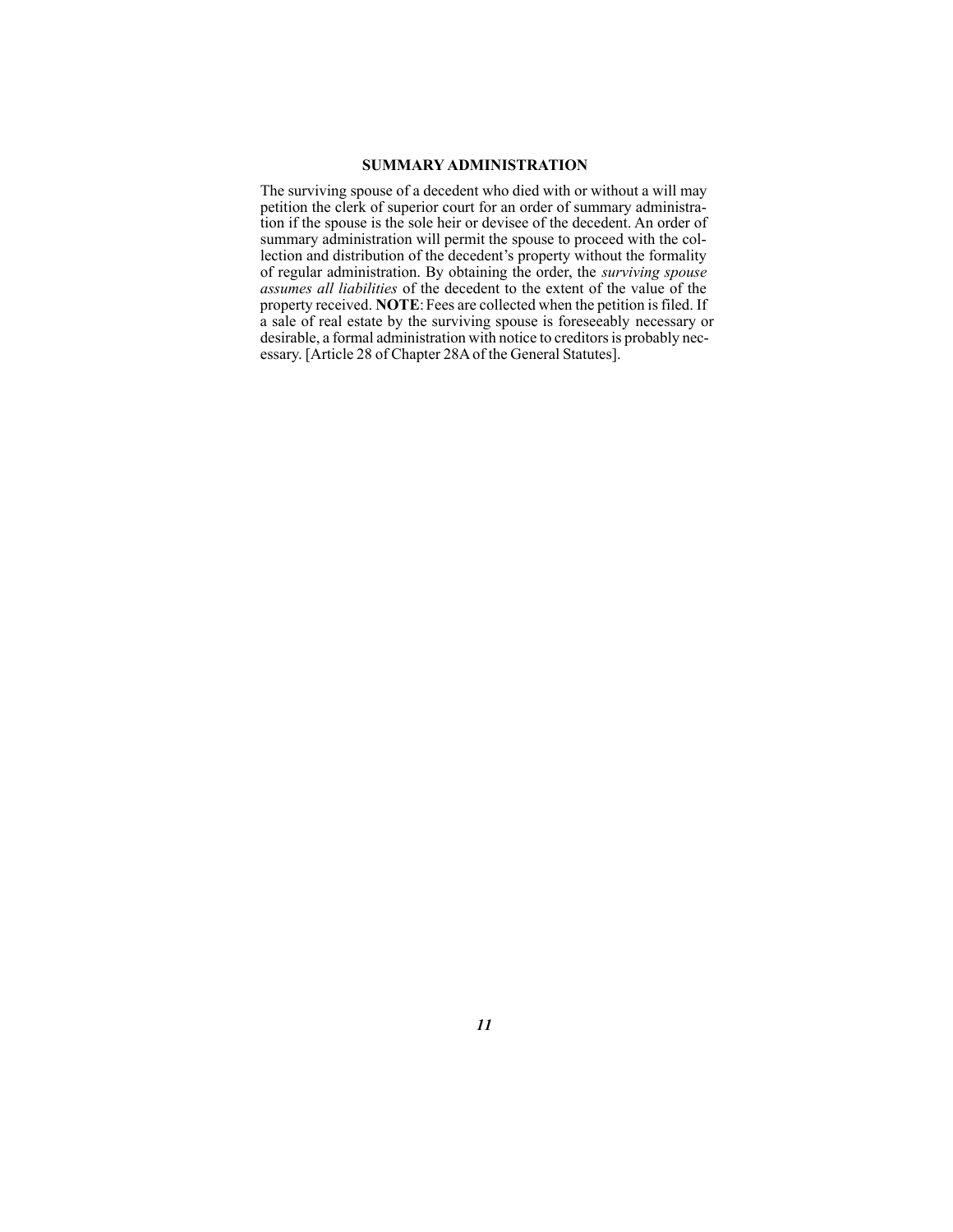#### **SUMMARY ADMINISTRATION**

The surviving spouse of a decedent who died with or without a will may petition the clerk of superior court for an order of summary administration if the spouse is the sole heir or devisee of the decedent. An order of summary administration will permit the spouse to proceed with the collection and distribution of the decedent's property without the formality of regular administration. By obtaining the order, the *surviving spouse assumes all liabilities* of the decedent to the extent of the value of the property received. **NOTE**: Fees are collected when the petition is filed. If a sale of real estate by the surviving spouse is foreseeably necessary or desirable, a formal administration with notice to creditors is probably necessary. [Article 28 of Chapter 28A of the General Statutes].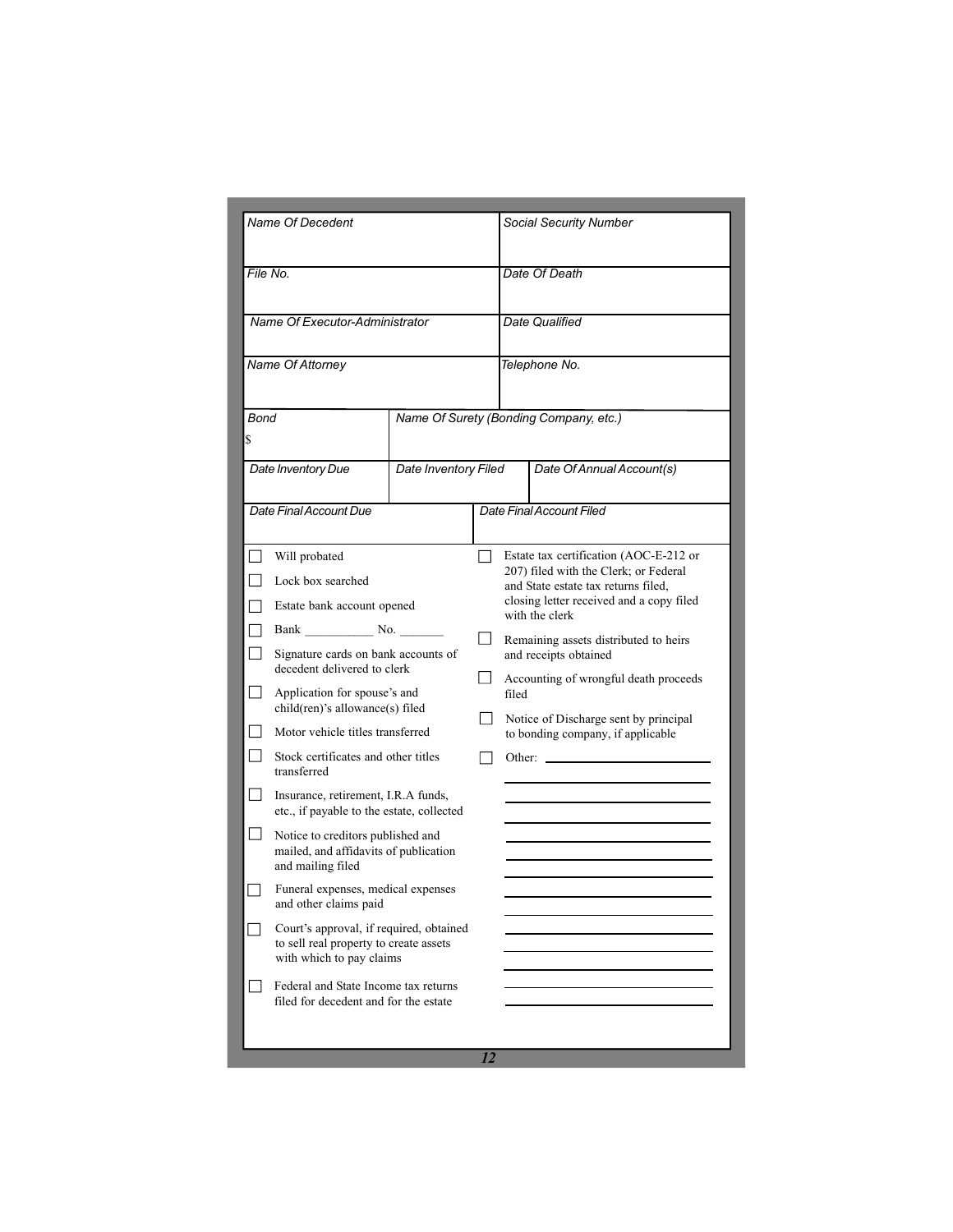| Name Of Decedent                                                                                                                                                                                                                                                                                                                                                                                                                                                                                                                                                                                                                                                                                                                                                                              |                                        |        | Social Security Number                                                                                                                                                                                                                                                                                                                                                                                           |  |
|-----------------------------------------------------------------------------------------------------------------------------------------------------------------------------------------------------------------------------------------------------------------------------------------------------------------------------------------------------------------------------------------------------------------------------------------------------------------------------------------------------------------------------------------------------------------------------------------------------------------------------------------------------------------------------------------------------------------------------------------------------------------------------------------------|----------------------------------------|--------|------------------------------------------------------------------------------------------------------------------------------------------------------------------------------------------------------------------------------------------------------------------------------------------------------------------------------------------------------------------------------------------------------------------|--|
| File No.                                                                                                                                                                                                                                                                                                                                                                                                                                                                                                                                                                                                                                                                                                                                                                                      |                                        |        | Date Of Death                                                                                                                                                                                                                                                                                                                                                                                                    |  |
| Name Of Executor-Administrator                                                                                                                                                                                                                                                                                                                                                                                                                                                                                                                                                                                                                                                                                                                                                                |                                        |        | Date Qualified                                                                                                                                                                                                                                                                                                                                                                                                   |  |
| Name Of Attorney                                                                                                                                                                                                                                                                                                                                                                                                                                                                                                                                                                                                                                                                                                                                                                              |                                        |        | Telephone No.                                                                                                                                                                                                                                                                                                                                                                                                    |  |
| <b>Bond</b><br>S                                                                                                                                                                                                                                                                                                                                                                                                                                                                                                                                                                                                                                                                                                                                                                              | Name Of Surety (Bonding Company, etc.) |        |                                                                                                                                                                                                                                                                                                                                                                                                                  |  |
| Date Inventory Due                                                                                                                                                                                                                                                                                                                                                                                                                                                                                                                                                                                                                                                                                                                                                                            | Date Inventory Filed                   |        | Date Of Annual Account(s)                                                                                                                                                                                                                                                                                                                                                                                        |  |
| Date Final Account Due                                                                                                                                                                                                                                                                                                                                                                                                                                                                                                                                                                                                                                                                                                                                                                        |                                        |        | Date Final Account Filed                                                                                                                                                                                                                                                                                                                                                                                         |  |
| Will probated<br>⊢∃<br>Lock box searched<br>Estate bank account opened<br>Bank No.<br>Signature cards on bank accounts of<br>decedent delivered to clerk<br>Application for spouse's and<br>child(ren)'s allowance(s) filed<br>Motor vehicle titles transferred<br>Stock certificates and other titles<br>transferred<br>$\perp$<br>Insurance, retirement, I.R.A funds,<br>etc., if payable to the estate, collected<br>ப<br>Notice to creditors published and<br>mailed, and affidavits of publication<br>and mailing filed<br>Funeral expenses, medical expenses<br>and other claims paid<br>Court's approval, if required, obtained<br>to sell real property to create assets<br>with which to pay claims<br>Federal and State Income tax returns<br>filed for decedent and for the estate |                                        | $\Box$ | Estate tax certification (AOC-E-212 or<br>207) filed with the Clerk; or Federal<br>and State estate tax returns filed,<br>closing letter received and a copy filed<br>with the clerk<br>Remaining assets distributed to heirs<br>and receipts obtained<br>Accounting of wrongful death proceeds<br>filed<br>Notice of Discharge sent by principal<br>to bonding company, if applicable<br>Other: $\qquad \qquad$ |  |
|                                                                                                                                                                                                                                                                                                                                                                                                                                                                                                                                                                                                                                                                                                                                                                                               |                                        | 12     |                                                                                                                                                                                                                                                                                                                                                                                                                  |  |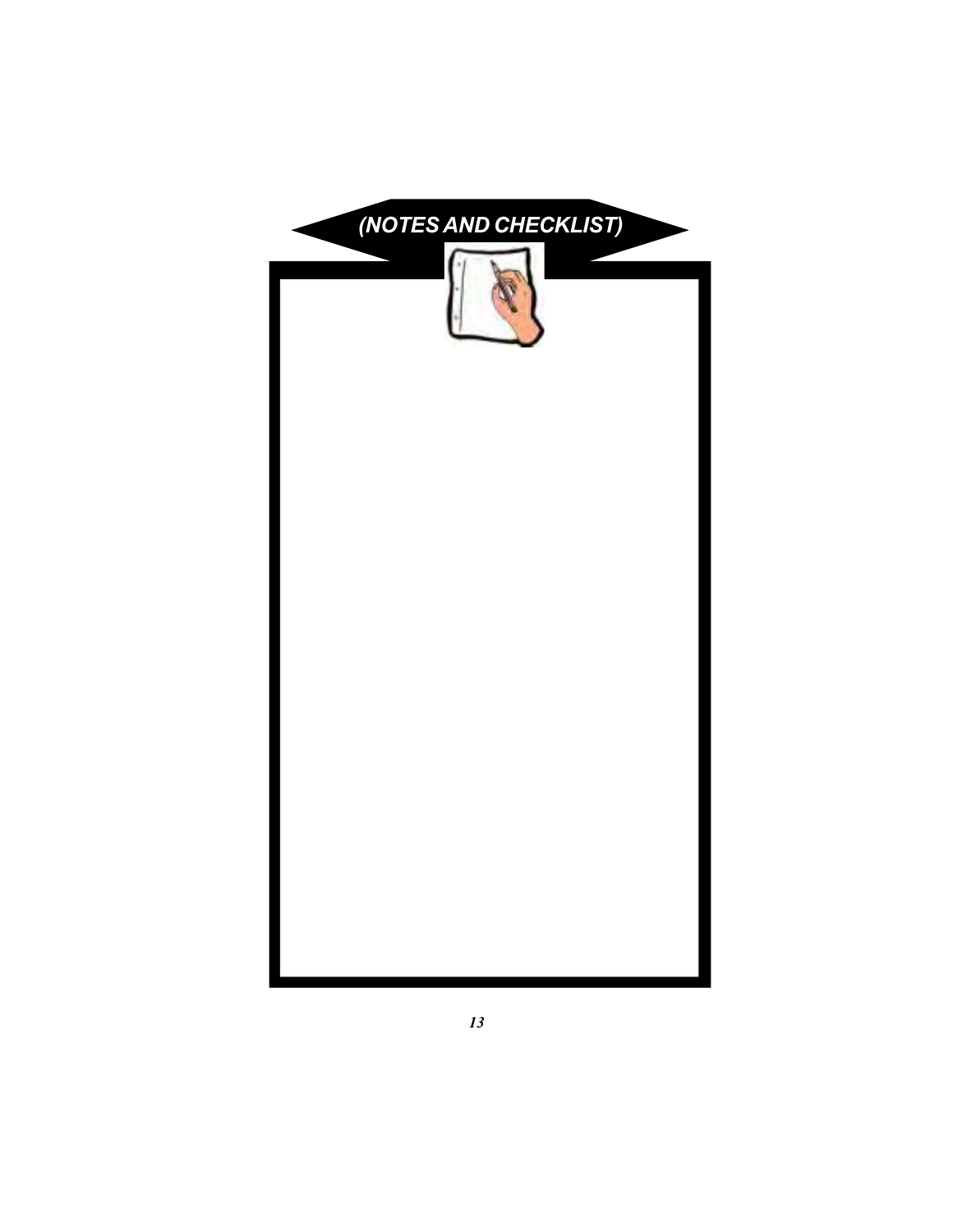